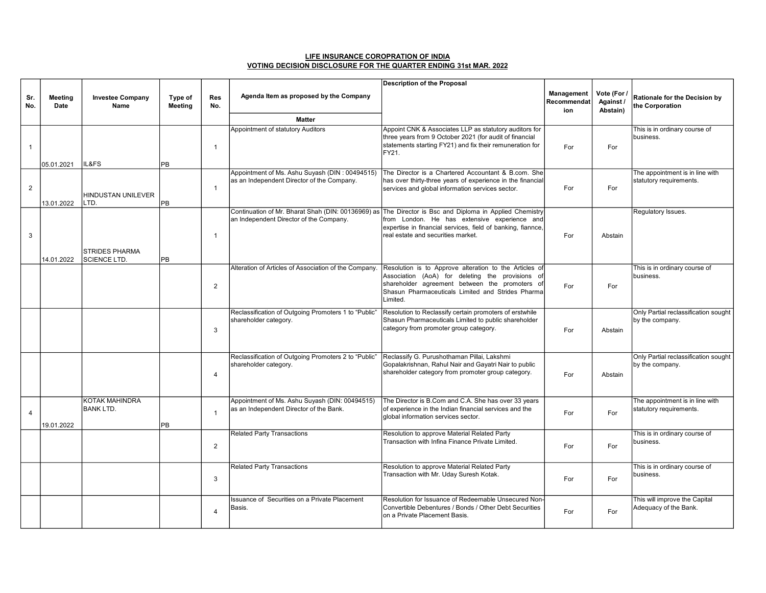| LIFE INSURANCE COROPRATION OF INDIA                              |  |
|------------------------------------------------------------------|--|
| VOTING DECISION DISCLOSURE FOR THE QUARTER ENDING 31st MAR, 2022 |  |

|                |                        |                                           |                    |                   |                                                                                           | <b>Description of the Proposal</b>                                                                                                                                                                                                                           |                                  |                                      |                                                            |
|----------------|------------------------|-------------------------------------------|--------------------|-------------------|-------------------------------------------------------------------------------------------|--------------------------------------------------------------------------------------------------------------------------------------------------------------------------------------------------------------------------------------------------------------|----------------------------------|--------------------------------------|------------------------------------------------------------|
| Sr.<br>No.     | <b>Meeting</b><br>Date | <b>Investee Company</b><br>Name           | Type of<br>Meeting | <b>Res</b><br>No. | Agenda Item as proposed by the Company                                                    |                                                                                                                                                                                                                                                              | Management<br>Recommendat<br>ion | Vote (For /<br>Against /<br>Abstain) | Rationale for the Decision by<br>the Corporation           |
|                |                        |                                           |                    |                   | <b>Matter</b>                                                                             |                                                                                                                                                                                                                                                              |                                  |                                      |                                                            |
| $\mathbf{1}$   |                        | IL&FS                                     |                    | $\overline{1}$    | Appointment of statutory Auditors                                                         | Appoint CNK & Associates LLP as statutory auditors for<br>three years from 9 October 2021 (for audit of financial<br>statements starting FY21) and fix their remuneration for<br>FY21.                                                                       | For                              | For                                  | This is in ordinary course of<br>business.                 |
|                | 05.01.2021             |                                           | PB                 |                   | Appointment of Ms. Ashu Suyash (DIN: 00494515)                                            | The Director is a Chartered Accountant & B.com. She                                                                                                                                                                                                          |                                  |                                      | The appointment is in line with                            |
| 2              | 13.01.2022             | HINDUSTAN UNILEVER<br>LTD.                | <b>PB</b>          | $\mathbf{1}$      | as an Independent Director of the Company.                                                | has over thirty-three years of experience in the financial<br>services and global information services sector.                                                                                                                                               | For                              | For                                  | statutory requirements.                                    |
| 3              |                        | <b>STRIDES PHARMA</b>                     |                    | $\mathbf{1}$      | an Independent Director of the Company.                                                   | Continuation of Mr. Bharat Shah (DIN: 00136969) as The Director is Bsc and Diploma in Applied Chemistry<br>from London. He has extensive experience and<br>expertise in financial services, field of banking, fiannce,<br>real estate and securities market. | For                              | Abstain                              | Regulatory Issues.                                         |
|                | 14.01.2022             | <b>SCIENCE LTD.</b>                       | <b>PB</b>          |                   |                                                                                           |                                                                                                                                                                                                                                                              |                                  |                                      |                                                            |
|                |                        |                                           |                    | $\overline{2}$    | Alteration of Articles of Association of the Company.                                     | Resolution is to Approve alteration to the Articles of<br>Association (AoA) for deleting the provisions of<br>shareholder agreement between the promoters of<br>Shasun Pharmaceuticals Limited and Strides Pharma<br>Limited.                                | For                              | For                                  | This is in ordinary course of<br>business.                 |
|                |                        |                                           |                    | 3                 | Reclassification of Outgoing Promoters 1 to "Public"<br>shareholder category.             | Resolution to Reclassify certain promoters of erstwhile<br>Shasun Pharmaceuticals Limited to public shareholder<br>category from promoter group category.                                                                                                    | For                              | Abstain                              | Only Partial reclassification sought<br>by the company.    |
|                |                        |                                           |                    | $\overline{4}$    | Reclassification of Outgoing Promoters 2 to "Public"<br>shareholder category.             | Reclassify G. Purushothaman Pillai, Lakshmi<br>Gopalakrishnan, Rahul Nair and Gayatri Nair to public<br>shareholder category from promoter group category.                                                                                                   | For                              | Abstain                              | Only Partial reclassification sought<br>by the company.    |
| $\overline{4}$ | 19.01.2022             | <b>KOTAK MAHINDRA</b><br><b>BANK LTD.</b> | <b>PB</b>          | $\mathbf{1}$      | Appointment of Ms. Ashu Suyash (DIN: 00494515)<br>as an Independent Director of the Bank. | The Director is B.Com and C.A. She has over 33 years<br>of experience in the Indian financial services and the<br>global information services sector.                                                                                                        | For                              | For                                  | The appointment is in line with<br>statutory requirements. |
|                |                        |                                           |                    | 2                 | <b>Related Party Transactions</b>                                                         | Resolution to approve Material Related Party<br>Transaction with Infina Finance Private Limited.                                                                                                                                                             | For                              | For                                  | This is in ordinary course of<br>business.                 |
|                |                        |                                           |                    | 3                 | <b>Related Party Transactions</b>                                                         | Resolution to approve Material Related Party<br>Transaction with Mr. Uday Suresh Kotak.                                                                                                                                                                      | For                              | For                                  | This is in ordinary course of<br>business.                 |
|                |                        |                                           |                    | $\overline{4}$    | Issuance of Securities on a Private Placement<br>Basis.                                   | Resolution for Issuance of Redeemable Unsecured Non-<br>Convertible Debentures / Bonds / Other Debt Securities<br>Ion a Private Placement Basis.                                                                                                             | For                              | For                                  | This will improve the Capital<br>Adequacy of the Bank.     |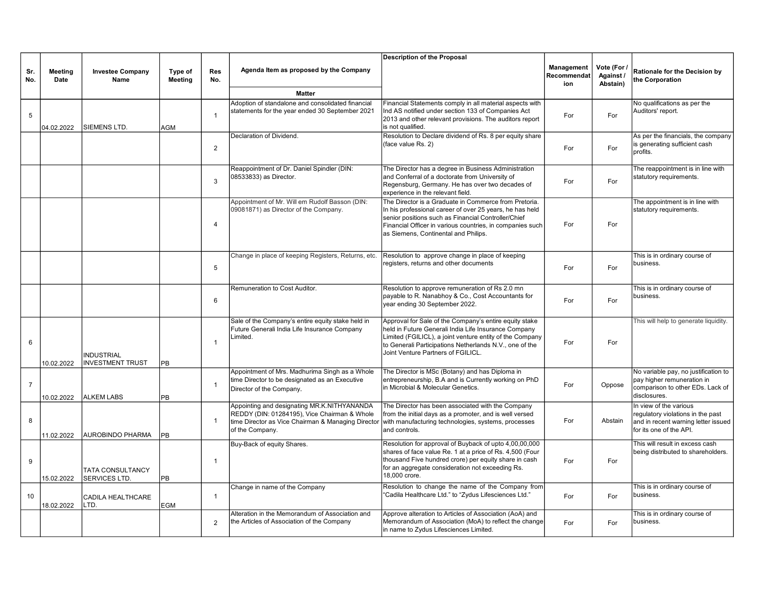|                |                 |                                                 |                           |                   |                                                                                                                                                                      | <b>Description of the Proposal</b>                                                                                                                                                                                                                                            |                                  |                                      |                                                                                                                               |
|----------------|-----------------|-------------------------------------------------|---------------------------|-------------------|----------------------------------------------------------------------------------------------------------------------------------------------------------------------|-------------------------------------------------------------------------------------------------------------------------------------------------------------------------------------------------------------------------------------------------------------------------------|----------------------------------|--------------------------------------|-------------------------------------------------------------------------------------------------------------------------------|
| Sr.<br>No.     | Meeting<br>Date | <b>Investee Company</b><br>Name                 | Type of<br><b>Meeting</b> | <b>Res</b><br>No. | Agenda Item as proposed by the Company                                                                                                                               |                                                                                                                                                                                                                                                                               | Management<br>Recommendat<br>ion | Vote (For /<br>Against /<br>Abstain) | Rationale for the Decision by<br>the Corporation                                                                              |
|                |                 |                                                 |                           |                   | <b>Matter</b>                                                                                                                                                        |                                                                                                                                                                                                                                                                               |                                  |                                      |                                                                                                                               |
| 5              | 04.02.2022      | <b>SIEMENS LTD.</b>                             | AGM                       | $\mathbf{1}$      | Adoption of standalone and consolidated financial<br>statements for the year ended 30 September 2021                                                                 | Financial Statements comply in all material aspects with<br>Ind AS notified under section 133 of Companies Act<br>2013 and other relevant provisions. The auditors report<br>is not qualified.                                                                                | For                              | For                                  | No qualifications as per the<br>Auditors' report.                                                                             |
|                |                 |                                                 |                           |                   | Declaration of Dividend.                                                                                                                                             | Resolution to Declare dividend of Rs. 8 per equity share                                                                                                                                                                                                                      |                                  |                                      | As per the financials, the company                                                                                            |
|                |                 |                                                 |                           | 2                 |                                                                                                                                                                      | (face value Rs. 2)                                                                                                                                                                                                                                                            | For                              | For                                  | is generating sufficient cash<br>profits.                                                                                     |
|                |                 |                                                 |                           | $\mathbf{3}$      | Reappointment of Dr. Daniel Spindler (DIN:<br>08533833) as Director.                                                                                                 | The Director has a degree in Business Administration<br>and Conferral of a doctorate from University of<br>Regensburg, Germany. He has over two decades of<br>experience in the relevant field.                                                                               | For                              | For                                  | The reappointment is in line with<br>statutory requirements.                                                                  |
|                |                 |                                                 |                           | $\overline{4}$    | Appointment of Mr. Will em Rudolf Basson (DIN:<br>09081871) as Director of the Company.                                                                              | The Director is a Graduate in Commerce from Pretoria.<br>In his professional career of over 25 years, he has held<br>senior positions such as Financial Controller/Chief<br>Financial Officer in various countries, in companies such<br>as Siemens, Continental and Philips. | For                              | For                                  | The appointment is in line with<br>statutory requirements.                                                                    |
|                |                 |                                                 |                           | 5                 | Change in place of keeping Registers, Returns, etc.                                                                                                                  | Resolution to approve change in place of keeping<br>egisters, returns and other documents                                                                                                                                                                                     | For                              | For                                  | This is in ordinary course of<br>business.                                                                                    |
|                |                 |                                                 |                           | 6                 | Remuneration to Cost Auditor.                                                                                                                                        | Resolution to approve remuneration of Rs 2.0 mn<br>payable to R. Nanabhoy & Co., Cost Accountants for<br>year ending 30 September 2022.                                                                                                                                       | For                              | For                                  | This is in ordinary course of<br>business.                                                                                    |
| 6              | 10.02.2022      | <b>INDUSTRIAL</b><br><b>INVESTMENT TRUST</b>    | PB                        | $\overline{1}$    | Sale of the Company's entire equity stake held in<br>Future Generali India Life Insurance Company<br>Limited.                                                        | Approval for Sale of the Company's entire equity stake<br>held in Future Generali India Life Insurance Company<br>Limited (FGILICL), a joint venture entity of the Company<br>to Generali Participations Netherlands N.V., one of the<br>Joint Venture Partners of FGILICL.   | For                              | For                                  | This will help to generate liquidity.                                                                                         |
| $\overline{7}$ | 10.02.2022      | <b>ALKEM LABS</b>                               | PB                        | $\overline{1}$    | Appointment of Mrs. Madhurima Singh as a Whole<br>time Director to be designated as an Executive<br>Director of the Company.                                         | The Director is MSc (Botany) and has Diploma in<br>entrepreneurship, B.A and is Currently working on PhD<br>in Microbial & Molecular Genetics.                                                                                                                                | For                              | Oppose                               | No variable pay, no justification to<br>pay higher remuneration in<br>comparison to other EDs. Lack of<br>disclosures.        |
| 8              | 11.02.2022      | AUROBINDO PHARMA                                | PB                        | $\mathbf{1}$      | Appointing and designating MR.K.NITHYANANDA<br>REDDY (DIN: 01284195), Vice Chairman & Whole<br>time Director as Vice Chairman & Managing Director<br>of the Company. | The Director has been associated with the Company<br>from the initial days as a promoter, and is well versed<br>with manufacturing technologies, systems, processes<br>and controls.                                                                                          | For                              | Abstain                              | In view of the various<br>regulatory violations in the past<br>and in recent warning letter issued<br>for its one of the API. |
| 9              | 15.02.2022      | <b>TATA CONSULTANCY</b><br><b>SERVICES LTD.</b> | PB                        | $\overline{1}$    | Buy-Back of equity Shares.                                                                                                                                           | Resolution for approval of Buyback of upto 4,00,00,000<br>shares of face value Re. 1 at a price of Rs. 4,500 (Four<br>thousand Five hundred crore) per equity share in cash<br>for an aggregate consideration not exceeding Rs.<br>18,000 crore.                              | For                              | For                                  | This will result in excess cash<br>being distributed to shareholders.                                                         |
| 10             | 18.02.2022      | <b>CADILA HEALTHCARE</b><br>LTD.                | EGM                       | $\overline{1}$    | Change in name of the Company                                                                                                                                        | Resolution to change the name of the Company from<br>"Cadila Healthcare Ltd." to "Zydus Lifesciences Ltd."                                                                                                                                                                    | For                              | For                                  | This is in ordinary course of<br>business.                                                                                    |
|                |                 |                                                 |                           | 2                 | Alteration in the Memorandum of Association and<br>the Articles of Association of the Company                                                                        | Approve alteration to Articles of Association (AoA) and<br>Memorandum of Association (MoA) to reflect the change<br>In name to Zydus Lifesciences Limited.                                                                                                                    | For                              | For                                  | This is in ordinary course of<br>business.                                                                                    |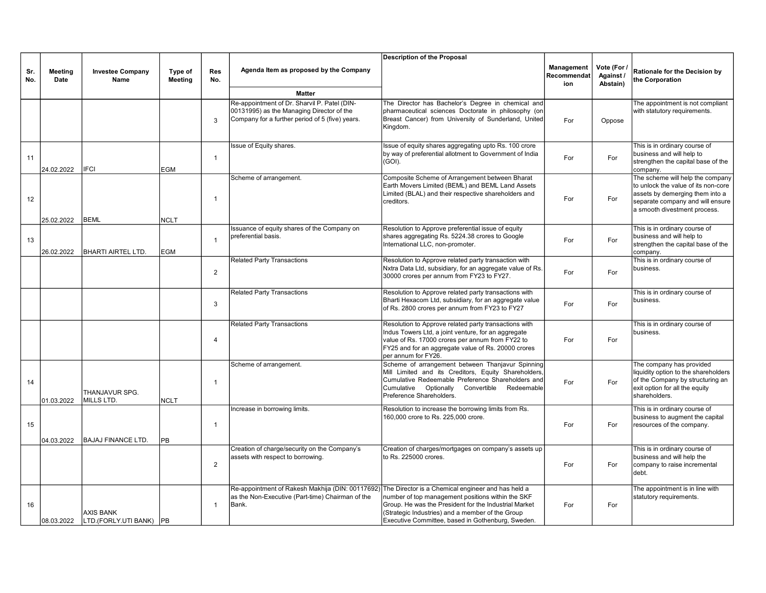|            |                        |                                             |                           |                         |                                                                                                                                                                  | <b>Description of the Proposal</b>                                                                                                                                                                                                             |                                  |                                      |                                                                                                                                                                                |
|------------|------------------------|---------------------------------------------|---------------------------|-------------------------|------------------------------------------------------------------------------------------------------------------------------------------------------------------|------------------------------------------------------------------------------------------------------------------------------------------------------------------------------------------------------------------------------------------------|----------------------------------|--------------------------------------|--------------------------------------------------------------------------------------------------------------------------------------------------------------------------------|
| Sr.<br>No. | <b>Meeting</b><br>Date | <b>Investee Company</b><br>Name             | Type of<br><b>Meeting</b> | <b>Res</b><br>No.       | Agenda Item as proposed by the Company                                                                                                                           |                                                                                                                                                                                                                                                | Management<br>Recommendat<br>ion | Vote (For /<br>Against /<br>Abstain) | Rationale for the Decision by<br>the Corporation                                                                                                                               |
|            |                        |                                             |                           |                         | <b>Matter</b>                                                                                                                                                    |                                                                                                                                                                                                                                                |                                  |                                      |                                                                                                                                                                                |
|            |                        |                                             |                           | 3                       | Re-appointment of Dr. Sharvil P. Patel (DIN-<br>00131995) as the Managing Director of the<br>Company for a further period of 5 (five) years.                     | The Director has Bachelor's Degree in chemical and<br>pharmaceutical sciences Doctorate in philosophy (on<br>Breast Cancer) from University of Sunderland, United<br>Kingdom.                                                                  | For                              | Oppose                               | The appointment is not compliant<br>with statutory requirements.                                                                                                               |
| 11         | 24.02.2022             | <b>IFCI</b>                                 | EGM                       | $\mathbf{1}$            | Issue of Equity shares.                                                                                                                                          | Issue of equity shares aggregating upto Rs. 100 crore<br>by way of preferential allotment to Government of India<br>(GOI).                                                                                                                     | For                              | For                                  | This is in ordinary course of<br>business and will help to<br>strengthen the capital base of the<br>company.                                                                   |
| 12         | 25.02.2022             | BEML                                        | <b>NCLT</b>               | $\overline{1}$          | Scheme of arrangement.                                                                                                                                           | Composite Scheme of Arrangement between Bharat<br>Earth Movers Limited (BEML) and BEML Land Assets<br>Limited (BLAL) and their respective shareholders and<br>creditors.                                                                       | For                              | For                                  | The scheme will help the company<br>to unlock the value of its non-core<br>assets by demerging them into a<br>separate company and will ensure<br>a smooth divestment process. |
| 13         | 26.02.2022             | <b>BHARTI AIRTEL LTD.</b>                   | EGM                       | $\overline{1}$          | Issuance of equity shares of the Company on<br>preferential basis.                                                                                               | Resolution to Approve preferential issue of equity<br>shares aggregating Rs. 5224.38 crores to Google<br>International LLC, non-promoter.                                                                                                      | For                              | For                                  | This is in ordinary course of<br>business and will help to<br>strengthen the capital base of the<br>company.                                                                   |
|            |                        |                                             |                           | 2                       | <b>Related Party Transactions</b>                                                                                                                                | Resolution to Approve related party transaction with<br>Nxtra Data Ltd, subsidiary, for an aggregate value of Rs.<br>30000 crores per annum from FY23 to FY27.                                                                                 | For                              | For                                  | This is in ordinary course of<br>business.                                                                                                                                     |
|            |                        |                                             |                           | 3                       | <b>Related Party Transactions</b>                                                                                                                                | Resolution to Approve related party transactions with<br>Bharti Hexacom Ltd, subsidiary, for an aggregate value<br>of Rs. 2800 crores per annum from FY23 to FY27                                                                              | For                              | For                                  | This is in ordinary course of<br>business.                                                                                                                                     |
|            |                        |                                             |                           | $\overline{4}$          | <b>Related Party Transactions</b>                                                                                                                                | Resolution to Approve related party transactions with<br>Indus Towers Ltd, a joint venture, for an aggregate<br>value of Rs. 17000 crores per annum from FY22 to<br>FY25 and for an aggregate value of Rs. 20000 crores<br>per annum for FY26. | For                              | For                                  | This is in ordinary course of<br>business.                                                                                                                                     |
| 14         | 01.03.2022             | THANJAVUR SPG.<br>MILLS LTD.                | NCLT                      | $\overline{1}$          | Scheme of arrangement.                                                                                                                                           | Scheme of arrangement between Thanjavur Spinning<br>Mill Limited and its Creditors, Equity Shareholders,<br>Cumulative Redeemable Preference Shareholders and<br>Cumulative Optionally<br>Convertible Redeemable<br>Preference Shareholders.   | For                              | For                                  | The company has provided<br>liquidity option to the shareholders<br>of the Company by structuring an<br>exit option for all the equity<br>shareholders.                        |
| 15         | 04.03.2022             | <b>BAJAJ FINANCE LTD.</b>                   | РB                        | $\overline{1}$          | Increase in borrowing limits.                                                                                                                                    | Resolution to increase the borrowing limits from Rs.<br>160,000 crore to Rs. 225,000 crore.                                                                                                                                                    | For                              | For                                  | This is in ordinary course of<br>business to augment the capital<br>resources of the company.                                                                                  |
|            |                        |                                             |                           | 2                       | Creation of charge/security on the Company's<br>assets with respect to borrowing.                                                                                | Creation of charges/mortgages on company's assets up<br>to Rs. 225000 crores.                                                                                                                                                                  | For                              | For                                  | This is in ordinary course of<br>business and will help the<br>company to raise incremental<br>debt.                                                                           |
| 16         | 08.03.2022             | <b>AXIS BANK</b><br>LTD.(FORLY.UTI BANK) PB |                           | $\overline{\mathbf{1}}$ | Re-appointment of Rakesh Makhija (DIN: 00117692) The Director is a Chemical engineer and has held a<br>as the Non-Executive (Part-time) Chairman of the<br>Bank. | number of top management positions within the SKF<br>Group. He was the President for the Industrial Market<br>(Strategic Industries) and a member of the Group<br>Executive Committee, based in Gothenburg, Sweden.                            | For                              | For                                  | The appointment is in line with<br>statutory requirements.                                                                                                                     |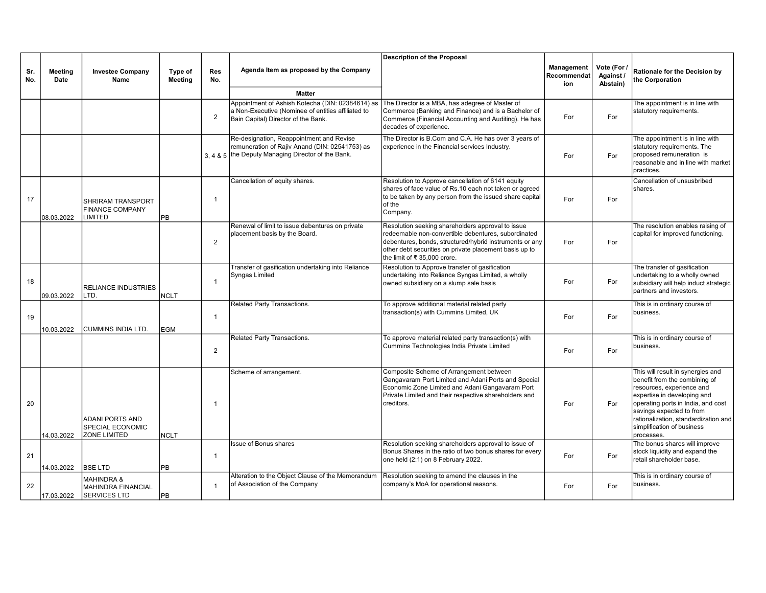|            |                        |                                                                           |                           |                   |                                                                                                                                                  | <b>Description of the Proposal</b>                                                                                                                                                                                                                            |                                  |                                      |                                                                                                                                                                                                                                                                                      |
|------------|------------------------|---------------------------------------------------------------------------|---------------------------|-------------------|--------------------------------------------------------------------------------------------------------------------------------------------------|---------------------------------------------------------------------------------------------------------------------------------------------------------------------------------------------------------------------------------------------------------------|----------------------------------|--------------------------------------|--------------------------------------------------------------------------------------------------------------------------------------------------------------------------------------------------------------------------------------------------------------------------------------|
| Sr.<br>No. | <b>Meeting</b><br>Date | <b>Investee Company</b><br>Name                                           | Type of<br><b>Meeting</b> | <b>Res</b><br>No. | Agenda Item as proposed by the Company                                                                                                           |                                                                                                                                                                                                                                                               | Management<br>Recommendat<br>ion | Vote (For /<br>Against /<br>Abstain) | Rationale for the Decision by<br>the Corporation                                                                                                                                                                                                                                     |
|            |                        |                                                                           |                           |                   | <b>Matter</b>                                                                                                                                    |                                                                                                                                                                                                                                                               |                                  |                                      |                                                                                                                                                                                                                                                                                      |
|            |                        |                                                                           |                           | 2                 | Appointment of Ashish Kotecha (DIN: 02384614) as<br>a Non-Executive (Nominee of entities affiliated to<br>Bain Capital) Director of the Bank.    | The Director is a MBA, has adegree of Master of<br>Commerce (Banking and Finance) and is a Bachelor of<br>Commerce (Financial Accounting and Auditing). He has<br>decades of experience.                                                                      | For                              | For                                  | The appointment is in line with<br>statutory requirements.                                                                                                                                                                                                                           |
|            |                        |                                                                           |                           |                   | Re-designation, Reappointment and Revise<br>remuneration of Rajiv Anand (DIN: 02541753) as<br>3, 4 & 5 the Deputy Managing Director of the Bank. | The Director is B.Com and C.A. He has over 3 years of<br>experience in the Financial services Industry.                                                                                                                                                       | For                              | For                                  | The appointment is in line with<br>statutory requirements. The<br>proposed remuneration is<br>reasonable and in line with market<br>practices.                                                                                                                                       |
| 17         | 08.03.2022             | SHRIRAM TRANSPORT<br><b>FINANCE COMPANY</b><br><b>LIMITED</b>             | PB                        | $\overline{1}$    | Cancellation of equity shares.                                                                                                                   | Resolution to Approve cancellation of 6141 equity<br>shares of face value of Rs.10 each not taken or agreed<br>to be taken by any person from the issued share capital<br>of the<br>Company.                                                                  | For                              | For                                  | Cancellation of unsusbribed<br>shares.                                                                                                                                                                                                                                               |
|            |                        |                                                                           |                           | $\overline{2}$    | Renewal of limit to issue debentures on private<br>placement basis by the Board.                                                                 | Resolution seeking shareholders approval to issue<br>redeemable non-convertible debentures, subordinated<br>debentures, bonds, structured/hybrid instruments or any<br>other debt securities on private placement basis up to<br>the limit of ₹ 35,000 crore. | For                              | For                                  | The resolution enables raising of<br>capital for improved functioning.                                                                                                                                                                                                               |
| 18         | 09.03.2022             | <b>RELIANCE INDUSTRIES</b><br>LTD.                                        | <b>NCLT</b>               | $\mathbf{1}$      | Transfer of gasification undertaking into Reliance<br>Syngas Limited                                                                             | Resolution to Approve transfer of gasification<br>undertaking into Reliance Syngas Limited, a wholly<br>owned subsidiary on a slump sale basis                                                                                                                | For                              | For                                  | The transfer of gasification<br>undertaking to a wholly owned<br>subsidiary will help induct strategic<br>partners and investors.                                                                                                                                                    |
| 19         | 10.03.2022             | <b>CUMMINS INDIA LTD</b>                                                  | EGM                       | $\mathbf{1}$      | Related Party Transactions.                                                                                                                      | To approve additional material related party<br>transaction(s) with Cummins Limited, UK                                                                                                                                                                       | For                              | For                                  | This is in ordinary course of<br>business.                                                                                                                                                                                                                                           |
|            |                        |                                                                           |                           | $\overline{2}$    | Related Party Transactions.                                                                                                                      | To approve material related party transaction(s) with<br>Cummins Technologies India Private Limited                                                                                                                                                           | For                              | For                                  | This is in ordinary course of<br>business.                                                                                                                                                                                                                                           |
| 20         | 14.03.2022             | <b>ADANI PORTS AND</b><br>SPECIAL ECONOMIC<br><b>ZONE LIMITED</b>         | <b>NCLT</b>               | -1                | Scheme of arrangement.                                                                                                                           | Composite Scheme of Arrangement between<br>Gangavaram Port Limited and Adani Ports and Special<br>Economic Zone Limited and Adani Gangavaram Port<br>Private Limited and their respective shareholders and<br>creditors.                                      | For                              | For                                  | This will result in synergies and<br>benefit from the combining of<br>resources, experience and<br>expertise in developing and<br>operating ports in India, and cost<br>savings expected to from<br>rationalization, standardization and<br>simplification of business<br>processes. |
| 21         | 14.03.2022             | <b>BSE LTD</b>                                                            | PB                        | $\mathbf{1}$      | <b>Issue of Bonus shares</b>                                                                                                                     | Resolution seeking shareholders approval to issue of<br>Bonus Shares in the ratio of two bonus shares for every<br>one held (2:1) on 8 February 2022.                                                                                                         | For                              | For                                  | The bonus shares will improve<br>stock liquidity and expand the<br>retail shareholder base.                                                                                                                                                                                          |
| 22         | 17.03.2022             | <b>MAHINDRA &amp;</b><br><b>MAHINDRA FINANCIAL</b><br><b>SERVICES LTD</b> | lPB                       | $\mathbf{1}$      | Alteration to the Object Clause of the Memorandum<br>of Association of the Company                                                               | Resolution seeking to amend the clauses in the<br>company's MoA for operational reasons.                                                                                                                                                                      | For                              | For                                  | This is in ordinary course of<br>business.                                                                                                                                                                                                                                           |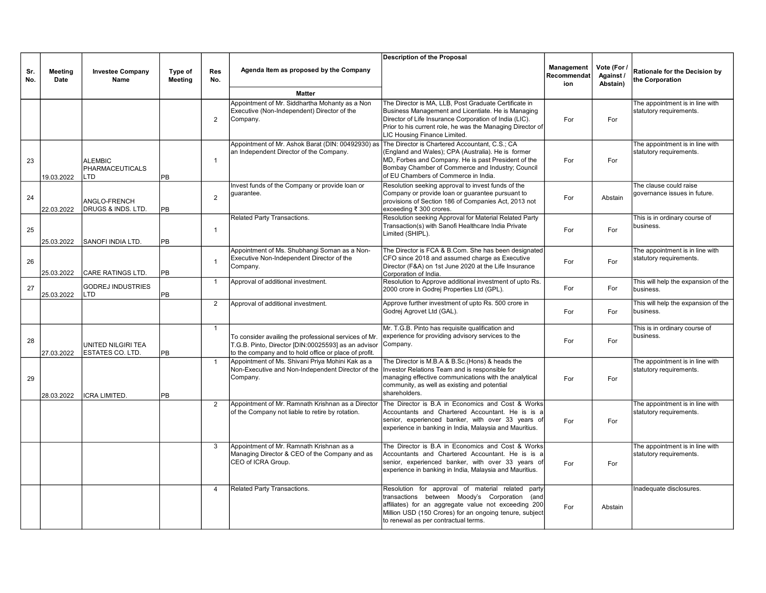|            |                 |                                                 |                    |                |                                                                                                                                                                       | <b>Description of the Proposal</b>                                                                                                                                                                                                                                  |                                  |                                      |                                                            |
|------------|-----------------|-------------------------------------------------|--------------------|----------------|-----------------------------------------------------------------------------------------------------------------------------------------------------------------------|---------------------------------------------------------------------------------------------------------------------------------------------------------------------------------------------------------------------------------------------------------------------|----------------------------------|--------------------------------------|------------------------------------------------------------|
| Sr.<br>No. | Meeting<br>Date | <b>Investee Company</b><br>Name                 | Type of<br>Meeting | Res<br>No.     | Agenda Item as proposed by the Company                                                                                                                                |                                                                                                                                                                                                                                                                     | Management<br>Recommendat<br>ion | Vote (For /<br>Against /<br>Abstain) | Rationale for the Decision by<br>the Corporation           |
|            |                 |                                                 |                    |                | <b>Matter</b>                                                                                                                                                         |                                                                                                                                                                                                                                                                     |                                  |                                      |                                                            |
|            |                 |                                                 |                    | 2              | Appointment of Mr. Siddhartha Mohanty as a Non<br>Executive (Non-Independent) Director of the<br>Company.                                                             | The Director is MA, LLB, Post Graduate Certificate in<br>Business Management and Licentiate. He is Managing<br>Director of Life Insurance Corporation of India (LIC).<br>Prior to his current role, he was the Managing Director of<br>LIC Housing Finance Limited. | For                              | For                                  | The appointment is in line with<br>statutory requirements. |
| 23         | 19.03.2022      | <b>ALEMBIC</b><br><b>PHARMACEUTICALS</b><br>LTD | <b>PB</b>          | $\mathbf{1}$   | Appointment of Mr. Ashok Barat (DIN: 00492930) as<br>an Independent Director of the Company.                                                                          | The Director is Chartered Accountant, C.S.; CA<br>(England and Wales); CPA (Australia). He is former<br>MD, Forbes and Company. He is past President of the<br>Bombay Chamber of Commerce and Industry; Council<br>of EU Chambers of Commerce in India.             | For                              | For                                  | The appointment is in line with<br>statutory requirements. |
| 24         | 22.03.2022      | ANGLO-FRENCH<br><b>DRUGS &amp; INDS. LTD.</b>   | <b>PB</b>          | 2              | Invest funds of the Company or provide loan or<br>quarantee.                                                                                                          | Resolution seeking approval to invest funds of the<br>Company or provide loan or guarantee pursuant to<br>provisions of Section 186 of Companies Act, 2013 not<br>exceeding ₹ 300 crores.                                                                           | For                              | Abstain                              | The clause could raise<br>governance issues in future.     |
| 25         | 25.03.2022      | <b>SANOFI INDIA LTD.</b>                        | PB                 | $\mathbf{1}$   | Related Party Transactions.                                                                                                                                           | Resolution seeking Approval for Material Related Party<br>Transaction(s) with Sanofi Healthcare India Private<br>Limited (SHIPL).                                                                                                                                   | For                              | For                                  | This is in ordinary course of<br>business.                 |
| 26         | 25.03.2022      | <b>CARE RATINGS LTD.</b>                        | PB                 | $\overline{1}$ | Appointment of Ms. Shubhangi Soman as a Non-<br>Executive Non-Independent Director of the<br>Company.                                                                 | The Director is FCA & B.Com. She has been designated<br>CFO since 2018 and assumed charge as Executive<br>Director (F&A) on 1st June 2020 at the Life Insurance<br>Corporation of India.                                                                            | For                              | For                                  | The appointment is in line with<br>statutory requirements. |
| 27         | 25.03.2022      | <b>GODREJ INDUSTRIES</b><br><b>LTD</b>          | PB                 | -1             | Approval of additional investment.                                                                                                                                    | Resolution to Approve additional investment of upto Rs.<br>2000 crore in Godrej Properties Ltd (GPL).                                                                                                                                                               | For                              | For                                  | This will help the expansion of the<br>business.           |
|            |                 |                                                 |                    | 2              | Approval of additional investment.                                                                                                                                    | Approve further investment of upto Rs. 500 crore in<br>Godrej Agrovet Ltd (GAL).                                                                                                                                                                                    | For                              | For                                  | This will help the expansion of the<br>business.           |
| 28         | 27.03.2022      | UNITED NILGIRI TEA<br><b>ESTATES CO. LTD.</b>   | PB                 | $\overline{1}$ | To consider availing the professional services of Mr.<br>T.G.B. Pinto, Director [DIN:00025593] as an advisor<br>to the company and to hold office or place of profit. | Mr. T.G.B. Pinto has requisite qualification and<br>experience for providing advisory services to the<br>Company.                                                                                                                                                   | For                              | For                                  | This is in ordinary course of<br>business.                 |
| 29         | 28.03.2022      | <b>ICRA LIMITED.</b>                            | PB                 | $\overline{1}$ | Appointment of Ms. Shivani Priya Mohini Kak as a<br>Non-Executive and Non-Independent Director of the<br>Company.                                                     | The Director is M.B.A & B.Sc.(Hons) & heads the<br>Investor Relations Team and is responsible for<br>managing effective communications with the analytical<br>community, as well as existing and potential<br>shareholders.                                         | For                              | For                                  | The appointment is in line with<br>statutory requirements. |
|            |                 |                                                 |                    | 2              | Appointment of Mr. Ramnath Krishnan as a Director<br>of the Company not liable to retire by rotation.                                                                 | The Director is B.A in Economics and Cost & Works<br>Accountants and Chartered Accountant. He is is a<br>senior, experienced banker, with over 33 years of<br>experience in banking in India, Malaysia and Mauritius.                                               | For                              | For                                  | The appointment is in line with<br>statutory requirements. |
|            |                 |                                                 |                    | 3              | Appointment of Mr. Ramnath Krishnan as a<br>Managing Director & CEO of the Company and as<br>CEO of ICRA Group.                                                       | The Director is B.A in Economics and Cost & Works<br>Accountants and Chartered Accountant. He is is a<br>senior, experienced banker, with over 33 years of<br>experience in banking in India, Malaysia and Mauritius.                                               | For                              | For                                  | The appointment is in line with<br>statutory requirements. |
|            |                 |                                                 |                    | 4              | Related Party Transactions.                                                                                                                                           | Resolution for approval of material related<br>party<br>transactions between Moody's Corporation (and<br>affiliates) for an aggregate value not exceeding 200<br>Million USD (150 Crores) for an ongoing tenure, subject<br>to renewal as per contractual terms.    | For                              | Abstain                              | Inadequate disclosures.                                    |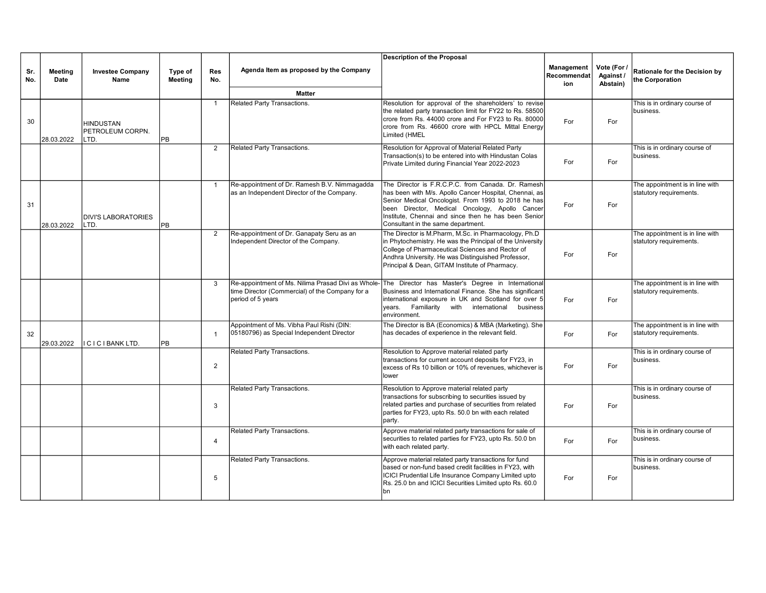|            |                        |                                              |                           |                   |                                                                                                                            | <b>Description of the Proposal</b>                                                                                                                                                                                                                                                                                  |                                  |                                      |                                                            |
|------------|------------------------|----------------------------------------------|---------------------------|-------------------|----------------------------------------------------------------------------------------------------------------------------|---------------------------------------------------------------------------------------------------------------------------------------------------------------------------------------------------------------------------------------------------------------------------------------------------------------------|----------------------------------|--------------------------------------|------------------------------------------------------------|
| Sr.<br>No. | <b>Meeting</b><br>Date | <b>Investee Company</b><br>Name              | Type of<br><b>Meeting</b> | <b>Res</b><br>No. | Agenda Item as proposed by the Company                                                                                     |                                                                                                                                                                                                                                                                                                                     | Management<br>Recommendat<br>ion | Vote (For /<br>Against /<br>Abstain) | Rationale for the Decision by<br>the Corporation           |
|            |                        |                                              |                           |                   | <b>Matter</b>                                                                                                              |                                                                                                                                                                                                                                                                                                                     |                                  |                                      |                                                            |
| 30         | 28.03.2022             | <b>HINDUSTAN</b><br>PETROLEUM CORPN.<br>LTD. | <b>PB</b>                 | $\overline{1}$    | Related Party Transactions.                                                                                                | Resolution for approval of the shareholders' to revise<br>the related party transaction limit for FY22 to Rs. 58500<br>crore from Rs. 44000 crore and For FY23 to Rs. 80000<br>crore from Rs. 46600 crore with HPCL Mittal Energy<br>Limited (HMEL                                                                  | For                              | For                                  | This is in ordinary course of<br>business.                 |
|            |                        |                                              |                           | $\overline{2}$    | Related Party Transactions.                                                                                                | Resolution for Approval of Material Related Party<br>Transaction(s) to be entered into with Hindustan Colas<br>Private Limited during Financial Year 2022-2023                                                                                                                                                      | For                              | For                                  | This is in ordinary course of<br>business.                 |
| 31         | 28.03.2022             | <b>DIVI'S LABORATORIES</b><br>LTD.           | PB                        | $\overline{1}$    | Re-appointment of Dr. Ramesh B.V. Nimmagadda<br>as an Independent Director of the Company.                                 | The Director is F.R.C.P.C. from Canada, Dr. Ramesh<br>has been with M/s. Apollo Cancer Hospital, Chennai, as<br>Senior Medical Oncologist. From 1993 to 2018 he has<br>been Director, Medical Oncology, Apollo Cancer<br>Institute, Chennai and since then he has been Senior<br>Consultant in the same department. | For                              | For                                  | The appointment is in line with<br>statutory requirements. |
|            |                        |                                              |                           | $\overline{2}$    | Re-appointment of Dr. Ganapaty Seru as an<br>Independent Director of the Company.                                          | The Director is M.Pharm, M.Sc. in Pharmacology, Ph.D<br>in Phytochemistry. He was the Principal of the University<br>College of Pharmaceutical Sciences and Rector of<br>Andhra University. He was Distinguished Professor,<br>Principal & Dean, GITAM Institute of Pharmacy.                                       | For                              | For                                  | The appointment is in line with<br>statutory requirements. |
|            |                        |                                              |                           | 3                 | Re-appointment of Ms. Nilima Prasad Divi as Whole-<br>time Director (Commercial) of the Company for a<br>period of 5 years | The Director has Master's Degree in International<br>Business and International Finance. She has significant<br>international exposure in UK and Scotland for over 5<br>years. Familiarity with<br>international<br>business<br>environment.                                                                        | For                              | For                                  | The appointment is in line with<br>statutory requirements. |
| 32         | 29.03.2022             | ICICIBANKLTD.                                | PB                        | $\mathbf{1}$      | Appointment of Ms. Vibha Paul Rishi (DIN:<br>05180796) as Special Independent Director                                     | The Director is BA (Economics) & MBA (Marketing). She<br>has decades of experience in the relevant field.                                                                                                                                                                                                           | For                              | For                                  | The appointment is in line with<br>statutory requirements. |
|            |                        |                                              |                           | 2                 | Related Party Transactions.                                                                                                | Resolution to Approve material related party<br>transactions for current account deposits for FY23, in<br>excess of Rs 10 billion or 10% of revenues, whichever is<br>lower                                                                                                                                         | For                              | For                                  | This is in ordinary course of<br>business.                 |
|            |                        |                                              |                           | 3                 | Related Party Transactions.                                                                                                | Resolution to Approve material related party<br>transactions for subscribing to securities issued by<br>related parties and purchase of securities from related<br>parties for FY23, upto Rs. 50.0 bn with each related<br>party.                                                                                   | For                              | For                                  | This is in ordinary course of<br>business.                 |
|            |                        |                                              |                           | $\overline{4}$    | Related Party Transactions.                                                                                                | Approve material related party transactions for sale of<br>securities to related parties for FY23, upto Rs. 50.0 bn<br>with each related party.                                                                                                                                                                     | For                              | For                                  | This is in ordinary course of<br>business.                 |
|            |                        |                                              |                           | 5                 | Related Party Transactions.                                                                                                | Approve material related party transactions for fund<br>based or non-fund based credit facilities in FY23, with<br>ICICI Prudential Life Insurance Company Limited upto<br>Rs. 25.0 bn and ICICI Securities Limited upto Rs. 60.0<br>lbn                                                                            | For                              | For                                  | This is in ordinary course of<br>business.                 |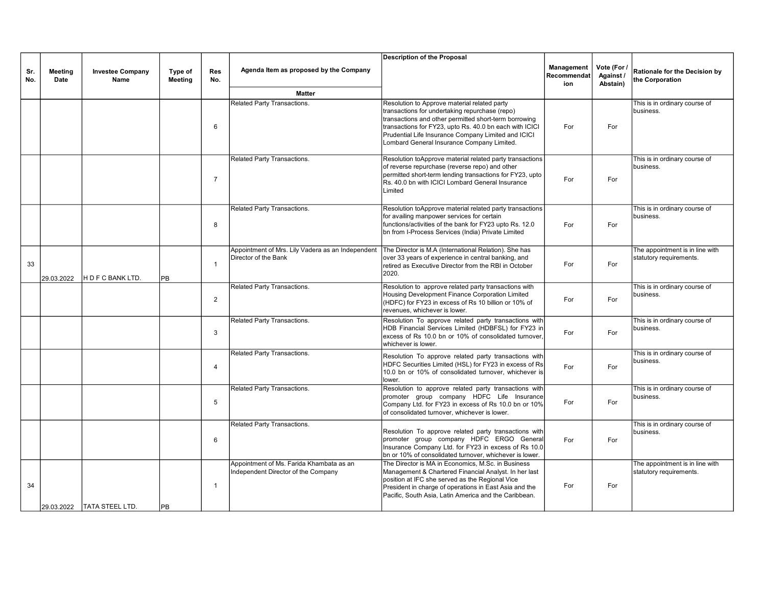|            |                        |                                 |                    |                   |                                                                                 | <b>Description of the Proposal</b>                                                                                                                                                                                                                                                                                      |                                  |                                      |                                                            |
|------------|------------------------|---------------------------------|--------------------|-------------------|---------------------------------------------------------------------------------|-------------------------------------------------------------------------------------------------------------------------------------------------------------------------------------------------------------------------------------------------------------------------------------------------------------------------|----------------------------------|--------------------------------------|------------------------------------------------------------|
| Sr.<br>No. | <b>Meeting</b><br>Date | <b>Investee Company</b><br>Name | Type of<br>Meeting | <b>Res</b><br>No. | Agenda Item as proposed by the Company                                          |                                                                                                                                                                                                                                                                                                                         | Management<br>Recommendat<br>ion | Vote (For /<br>Against /<br>Abstain) | Rationale for the Decision by<br>the Corporation           |
|            |                        |                                 |                    |                   | <b>Matter</b>                                                                   |                                                                                                                                                                                                                                                                                                                         |                                  |                                      |                                                            |
|            |                        |                                 |                    | 6                 | Related Party Transactions.                                                     | Resolution to Approve material related party<br>transactions for undertaking repurchase (repo)<br>transactions and other permitted short-term borrowing<br>transactions for FY23, upto Rs. 40.0 bn each with ICICI<br>Prudential Life Insurance Company Limited and ICICI<br>Lombard General Insurance Company Limited. | For                              | For                                  | This is in ordinary course of<br>business.                 |
|            |                        |                                 |                    | $\overline{7}$    | Related Party Transactions.                                                     | Resolution toApprove material related party transactions<br>of reverse repurchase (reverse repo) and other<br>permitted short-term lending transactions for FY23, upto<br>Rs. 40.0 bn with ICICI Lombard General Insurance<br>Limited                                                                                   | For                              | For                                  | This is in ordinary course of<br>business.                 |
|            |                        |                                 |                    | 8                 | Related Party Transactions.                                                     | Resolution toApprove material related party transactions<br>for availing manpower services for certain<br>functions/activities of the bank for FY23 upto Rs. 12.0<br>bn from I-Process Services (India) Private Limited                                                                                                 | For                              | For                                  | This is in ordinary course of<br>business.                 |
| 33         | 29.03.2022             | H D F C BANK LTD.               | PB                 | $\overline{1}$    | Appointment of Mrs. Lily Vadera as an Independent<br>Director of the Bank       | The Director is M.A (International Relation). She has<br>over 33 years of experience in central banking, and<br>retired as Executive Director from the RBI in October<br>2020.                                                                                                                                          | For                              | For                                  | The appointment is in line with<br>statutory requirements. |
|            |                        |                                 |                    | $\overline{2}$    | Related Party Transactions.                                                     | Resolution to approve related party transactions with<br>Housing Development Finance Corporation Limited<br>(HDFC) for FY23 in excess of Rs 10 billion or 10% of<br>revenues, whichever is lower.                                                                                                                       | For                              | For                                  | This is in ordinary course of<br>business.                 |
|            |                        |                                 |                    | 3                 | Related Party Transactions.                                                     | Resolution To approve related party transactions with<br>HDB Financial Services Limited (HDBFSL) for FY23 in<br>excess of Rs 10.0 bn or 10% of consolidated turnover.<br>whichever is lower.                                                                                                                            | For                              | For                                  | This is in ordinary course of<br>business.                 |
|            |                        |                                 |                    | $\overline{4}$    | Related Party Transactions.                                                     | Resolution To approve related party transactions with<br>HDFC Securities Limited (HSL) for FY23 in excess of Rs<br>10.0 bn or 10% of consolidated turnover, whichever is<br>lower.                                                                                                                                      | For                              | For                                  | This is in ordinary course of<br>business.                 |
|            |                        |                                 |                    | 5                 | Related Party Transactions.                                                     | Resolution to approve related party transactions with<br>promoter group company HDFC Life Insurance<br>Company Ltd. for FY23 in excess of Rs 10.0 bn or 10%<br>of consolidated turnover. whichever is lower.                                                                                                            | For                              | For                                  | This is in ordinary course of<br>business.                 |
|            |                        |                                 |                    | 6                 | Related Party Transactions.                                                     | Resolution To approve related party transactions with<br>promoter group company HDFC ERGO General<br>Insurance Company Ltd. for FY23 in excess of Rs 10.0<br>Ibn or 10% of consolidated turnover, whichever is lower.                                                                                                   | For                              | For                                  | This is in ordinary course of<br>business.                 |
| 34         |                        | 29.03.2022   TATA STEEL LTD.    | <b>PB</b>          | $\mathbf{1}$      | Appointment of Ms. Farida Khambata as an<br>Independent Director of the Company | The Director is MA in Economics, M.Sc. in Business<br>Management & Chartered Financial Analyst. In her last<br>position at IFC she served as the Regional Vice<br>President in charge of operations in East Asia and the<br>Pacific, South Asia, Latin America and the Caribbean.                                       | For                              | For                                  | The appointment is in line with<br>statutory requirements. |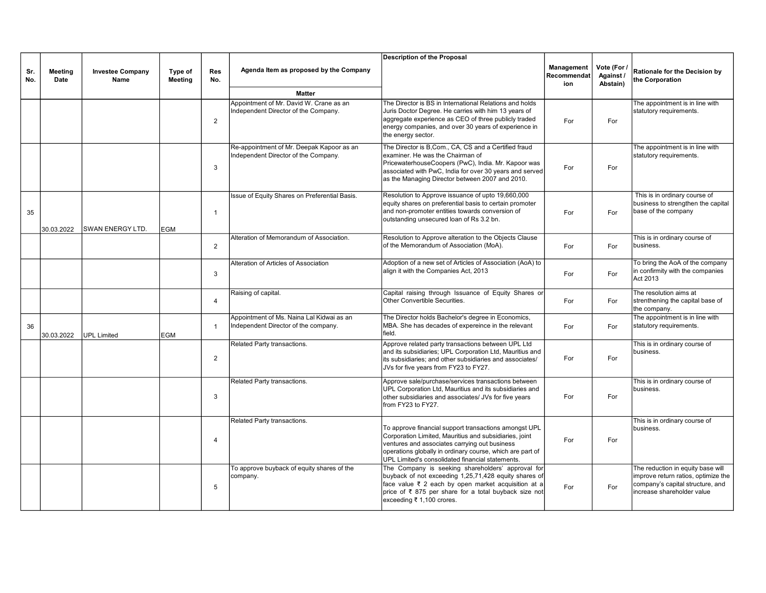|            |                        |                                 |                    |                   |                                                                                   | <b>Description of the Proposal</b>                                                                                                                                                                                                                                                |                                  |                                      |                                                                                                                                            |
|------------|------------------------|---------------------------------|--------------------|-------------------|-----------------------------------------------------------------------------------|-----------------------------------------------------------------------------------------------------------------------------------------------------------------------------------------------------------------------------------------------------------------------------------|----------------------------------|--------------------------------------|--------------------------------------------------------------------------------------------------------------------------------------------|
| Sr.<br>No. | <b>Meeting</b><br>Date | <b>Investee Company</b><br>Name | Type of<br>Meeting | <b>Res</b><br>No. | Agenda Item as proposed by the Company                                            |                                                                                                                                                                                                                                                                                   | Management<br>Recommendat<br>ion | Vote (For /<br>Against /<br>Abstain) | Rationale for the Decision by<br>the Corporation                                                                                           |
|            |                        |                                 |                    |                   | <b>Matter</b>                                                                     |                                                                                                                                                                                                                                                                                   |                                  |                                      |                                                                                                                                            |
|            |                        |                                 |                    | 2                 | Appointment of Mr. David W. Crane as an<br>Independent Director of the Company.   | The Director is BS in International Relations and holds<br>Juris Doctor Degree. He carries with him 13 years of<br>aggregate experience as CEO of three publicly traded<br>energy companies, and over 30 years of experience in<br>the energy sector.                             | For                              | For                                  | The appointment is in line with<br>statutory requirements.                                                                                 |
|            |                        |                                 |                    | 3                 | Re-appointment of Mr. Deepak Kapoor as an<br>Independent Director of the Company. | The Director is B, Com., CA, CS and a Certified fraud<br>examiner. He was the Chairman of<br>PricewaterhouseCoopers (PwC), India. Mr. Kapoor was<br>associated with PwC, India for over 30 years and served<br>as the Managing Director between 2007 and 2010.                    | For                              | For                                  | The appointment is in line with<br>statutory requirements.                                                                                 |
| 35         | 30.03.2022             | <b>SWAN ENERGY LTD.</b>         | <b>EGM</b>         | $\overline{1}$    | Issue of Equity Shares on Preferential Basis.                                     | Resolution to Approve issuance of upto 19,660,000<br>equity shares on preferential basis to certain promoter<br>and non-promoter entities towards conversion of<br>outstanding unsecured loan of Rs 3.2 bn.                                                                       | For                              | For                                  | This is in ordinary course of<br>business to strengthen the capital<br>base of the company                                                 |
|            |                        |                                 |                    | $\overline{2}$    | Alteration of Memorandum of Association.                                          | Resolution to Approve alteration to the Objects Clause<br>of the Memorandum of Association (MoA).                                                                                                                                                                                 | For                              | For                                  | This is in ordinary course of<br>business.                                                                                                 |
|            |                        |                                 |                    | 3                 | Alteration of Articles of Association                                             | Adoption of a new set of Articles of Association (AoA) to<br>align it with the Companies Act, 2013                                                                                                                                                                                | For                              | For                                  | To bring the AoA of the company<br>in confirmity with the companies<br>Act 2013                                                            |
|            |                        |                                 |                    | $\overline{4}$    | Raising of capital.                                                               | Capital raising through Issuance of Equity Shares or<br>Other Convertible Securities.                                                                                                                                                                                             | For                              | For                                  | The resolution aims at<br>strenthening the capital base of<br>the company.                                                                 |
| 36         | 30.03.2022             | <b>UPL Limited</b>              | <b>EGM</b>         | $\overline{1}$    | Appointment of Ms. Naina Lal Kidwai as an<br>Independent Director of the company. | The Director holds Bachelor's degree in Economics,<br>MBA. She has decades of expereince in the relevant<br>field.                                                                                                                                                                | For                              | For                                  | The appointment is in line with<br>statutory requirements.                                                                                 |
|            |                        |                                 |                    | $\overline{2}$    | Related Party transactions.                                                       | Approve related party transactions between UPL Ltd<br>and its subsidiaries; UPL Corporation Ltd, Mauritius and<br>lits subsidiaries: and other subsidiaries and associates/<br>JVs for five years from FY23 to FY27.                                                              | For                              | For                                  | This is in ordinary course of<br>business.                                                                                                 |
|            |                        |                                 |                    | 3                 | Related Party transactions.                                                       | Approve sale/purchase/services transactions between<br>UPL Corporation Ltd, Mauritius and its subsidiaries and<br>other subsidiaries and associates/ JVs for five years<br>from FY23 to FY27.                                                                                     | For                              | For                                  | This is in ordinary course of<br>business.                                                                                                 |
|            |                        |                                 |                    | $\overline{4}$    | Related Party transactions.                                                       | To approve financial support transactions amongst UPL<br>Corporation Limited, Mauritius and subsidiaries, joint<br>ventures and associates carrying out business<br>operations globally in ordinary course, which are part of<br>UPL Limited's consolidated financial statements. | For                              | For                                  | This is in ordinary course of<br>business.                                                                                                 |
|            |                        |                                 |                    | 5                 | To approve buyback of equity shares of the<br>company.                            | The Company is seeking shareholders' approval for<br>buyback of not exceeding 1,25,71,428 equity shares of<br>face value ₹ 2 each by open market acquisition at a<br>price of ₹ 875 per share for a total buyback size not<br>exceeding ₹ 1,100 crores.                           | For                              | For                                  | The reduction in equity base will<br>improve return ratios, optimize the<br>company's capital structure, and<br>increase shareholder value |